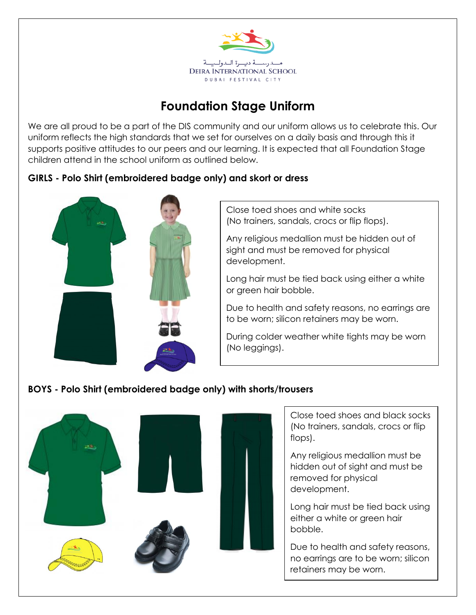

## **Foundation Stage Uniform**

We are all proud to be a part of the DIS community and our uniform allows us to celebrate this. Our uniform reflects the high standards that we set for ourselves on a daily basis and through this it supports positive attitudes to our peers and our learning. It is expected that all Foundation Stage children attend in the school uniform as outlined below.

## **GIRLS - Polo Shirt (embroidered badge only) and skort or dress**



Close toed shoes and white socks (No trainers, sandals, crocs or flip flops).

Any religious medallion must be hidden out of sight and must be removed for physical development.

Long hair must be tied back using either a white or green hair bobble.

Due to health and safety reasons, no earrings are to be worn; silicon retainers may be worn.

During colder weather white tights may be worn (No leggings).

## **BOYS - Polo Shirt (embroidered badge only) with shorts/trousers**



Close toed shoes and black socks (No trainers, sandals, crocs or flip flops).

Any religious medallion must be hidden out of sight and must be removed for physical development.

Long hair must be tied back using either a white or green hair bobble.

Due to health and safety reasons, no earrings are to be worn; silicon retainers may be worn.